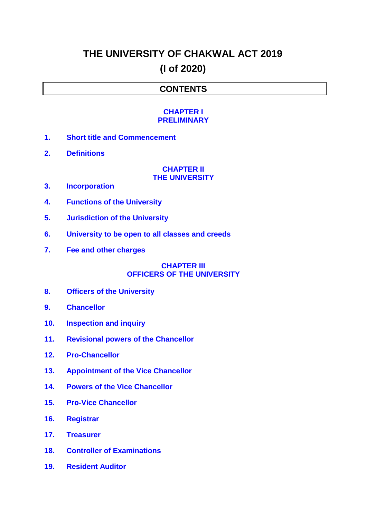# **THE UNIVERSITY OF CHAKWAL ACT 2019 (I of 2020)**

# **CONTENTS**

### **[CHAPTER I](#page-3-0) [PRELIMINARY](#page-3-0)**

- **1. [Short title and Commencement](#page-3-1)**
- **2. [Definitions](#page-3-2)**

## **[CHAPTER II](#page-4-0) [THE UNIVERSITY](#page-4-0)**

- **3. [Incorporation](#page-4-1)**
- **4. [Functions of the University](#page-5-0)**
- **5. [Jurisdiction of the University](#page-7-0)**
- **6. [University to be open to all classes and creeds](#page-7-1)**
- **7. [Fee and other charges](#page-7-2)**

### **[CHAPTER III](#page-7-3) [OFFICERS OF THE UNIVERSITY](#page-7-3)**

- **8. [Officers of the University](#page-7-4)**
- **9. [Chancellor](#page-8-0)**
- **10. [Inspection and inquiry](#page-8-1)**
- **11. [Revisional powers of the Chancellor](#page-8-2)**
- **12. [Pro-Chancellor](#page-8-3)**
- **13. [Appointment of the Vice Chancellor](#page-9-0)**
- **14. [Powers of the Vice Chancellor](#page-9-1)**
- **15. [Pro-Vice Chancellor](#page-10-0)**
- **16. [Registrar](#page-11-0)**
- **17. [Treasurer](#page-11-1)**
- **18. [Controller of Examinations](#page-12-0)**
- **19. [Resident Auditor](#page-12-1)**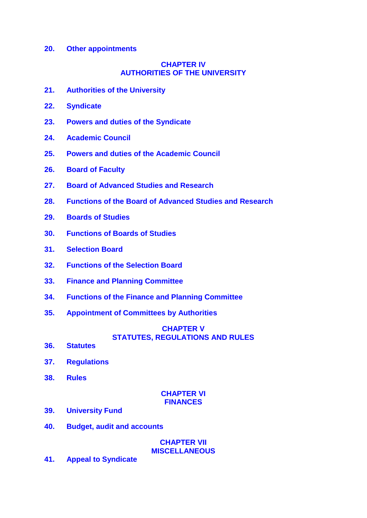#### **20. [Other appointments](#page-12-2)**

### **[CHAPTER IV](#page-12-3) [AUTHORITIES OF THE UNIVERSITY](#page-12-3)**

- **21. [Authorities of the University](#page-12-4)**
- **22. [Syndicate](#page-13-0)**
- **23. [Powers and duties of the Syndicate](#page-14-0)**
- **24. [Academic Council](#page-16-0)**
- **25. [Powers and duties of the Academic Council](#page-17-0)**
- **26. [Board of Faculty](#page-17-1)**
- **27. [Board of Advanced Studies and Research](#page-18-0)**
- **28. [Functions of the Board of Advanced Studies and Research](#page-19-0)**
- **29. [Boards of Studies](#page-19-1)**
- **30. [Functions of Boards of Studies](#page-20-0)**
- **31. [Selection Board](#page-20-1)**
- **32. [Functions of the Selection Board](#page-21-0)**
- **33. [Finance and Planning Committee](#page-21-1)**
- **34. [Functions of the Finance and Planning Committee](#page-21-2)**
- **35. [Appointment of Committees by Authorities](#page-22-0)**

# **[CHAPTER V](#page-22-1) [STATUTES, REGULATIONS AND RULES](#page-22-1)**

- **36. [Statutes](#page-22-2)**
- **37. [Regulations](#page-23-0)**
- **38. [Rules](#page-23-1)**

### **[CHAPTER VI](#page-23-2) [FINANCES](#page-23-2)**

- **39. [University Fund](#page-24-0)**
- **40. [Budget, audit and accounts](#page-24-1)**

**[CHAPTER VII](#page-24-2) [MISCELLANEOUS](#page-24-2)**

**41. [Appeal to Syndicate](#page-24-3)**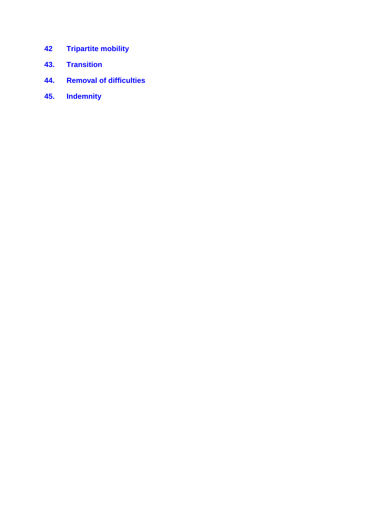- **42 [Tripartite mobility](#page-24-4)**
- **43. [Transition](#page-25-0)**
- **44. [Removal of difficulties](#page-25-1)**
- **45. [Indemnity](#page-25-2)**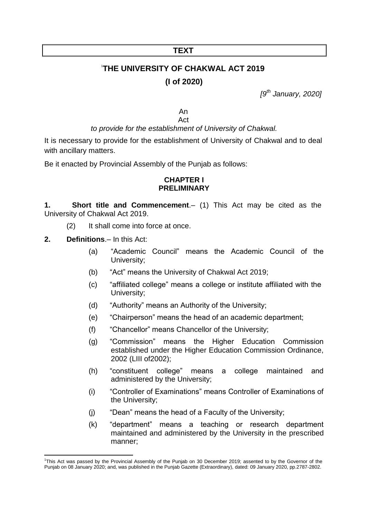## **TEXT**

# 1 **THE UNIVERSITY OF CHAKWAL ACT 2019 (I of 2020)**

*[9 th January, 2020]*

An Act

### *to provide for the establishment of University of Chakwal.*

It is necessary to provide for the establishment of University of Chakwal and to deal with ancillary matters.

<span id="page-3-0"></span>Be it enacted by Provincial Assembly of the Punjab as follows:

### **CHAPTER I PRELIMINARY**

<span id="page-3-1"></span>**1. Short title and Commencement**.– (1) This Act may be cited as the University of Chakwal Act 2019.

- (2) It shall come into force at once.
- <span id="page-3-2"></span>**2. Definitions**.– In this Act:
	- (a) "Academic Council" means the Academic Council of the University;
	- (b) "Act" means the University of Chakwal Act 2019;
	- (c) "affiliated college" means a college or institute affiliated with the University;
	- (d) "Authority" means an Authority of the University;
	- (e) "Chairperson" means the head of an academic department;
	- (f) "Chancellor" means Chancellor of the University;
	- (g) "Commission" means the Higher Education Commission established under the Higher Education Commission Ordinance, 2002 (LIII of2002);
	- (h) "constituent college" means a college maintained and administered by the University;
	- (i) "Controller of Examinations" means Controller of Examinations of the University;
	- (j) "Dean" means the head of a Faculty of the University;
	- (k) "department" means a teaching or research department maintained and administered by the University in the prescribed manner;

 1 This Act was passed by the Provincial Assembly of the Punjab on 30 December 2019; assented to by the Governor of the Punjab on 08 January 2020; and, was published in the Punjab Gazette (Extraordinary), dated: 09 January 2020, pp.2787-2802.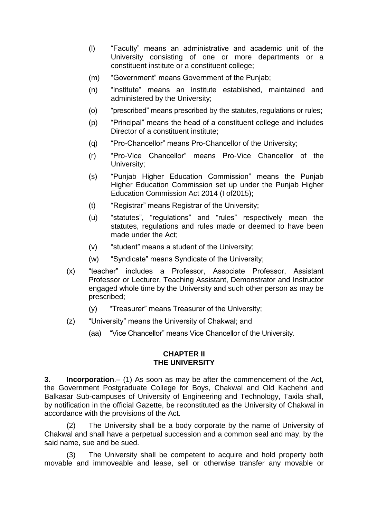- (l) "Faculty" means an administrative and academic unit of the University consisting of one or more departments or a constituent institute or a constituent college;
- (m) "Government" means Government of the Punjab;
- (n) "institute" means an institute established, maintained and administered by the University;
- (o) "prescribed" means prescribed by the statutes, regulations or rules;
- (p) "Principal" means the head of a constituent college and includes Director of a constituent institute;
- (q) "Pro-Chancellor" means Pro-Chancellor of the University;
- (r) "Pro-Vice Chancellor" means Pro-Vice Chancellor of the University;
- (s) "Punjab Higher Education Commission" means the Punjab Higher Education Commission set up under the Punjab Higher Education Commission Act 2014 (I of2015);
- (t) "Registrar" means Registrar of the University;
- (u) "statutes", "regulations" and "rules" respectively mean the statutes, regulations and rules made or deemed to have been made under the Act;
- (v) "student" means a student of the University;
- (w) "Syndicate" means Syndicate of the University;
- (x) "teacher" includes a Professor, Associate Professor, Assistant Professor or Lecturer, Teaching Assistant, Demonstrator and Instructor engaged whole time by the University and such other person as may be prescribed;
	- (y) "Treasurer" means Treasurer of the University;
- (z) "University" means the University of Chakwal; and
	- (aa) "Vice Chancellor" means Vice Chancellor of the University.

### **CHAPTER II THE UNIVERSITY**

<span id="page-4-1"></span><span id="page-4-0"></span>**3. Incorporation**.– (1) As soon as may be after the commencement of the Act, the Government Postgraduate College for Boys, Chakwal and Old Kachehri and Balkasar Sub-campuses of University of Engineering and Technology, Taxila shall, by notification in the official Gazette, be reconstituted as the University of Chakwal in accordance with the provisions of the Act.

The University shall be a body corporate by the name of University of Chakwal and shall have a perpetual succession and a common seal and may, by the said name, sue and be sued.

(3) The University shall be competent to acquire and hold property both movable and immoveable and lease, sell or otherwise transfer any movable or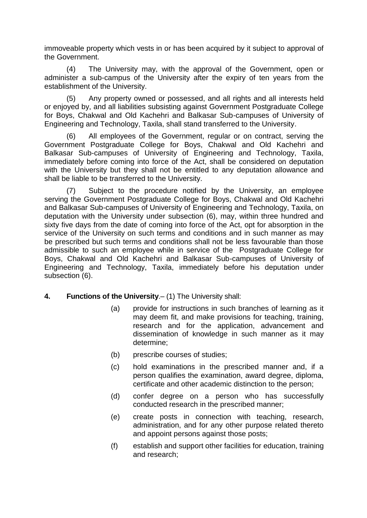immoveable property which vests in or has been acquired by it subject to approval of the Government.

(4) The University may, with the approval of the Government, open or administer a sub-campus of the University after the expiry of ten years from the establishment of the University.

(5) Any property owned or possessed, and all rights and all interests held or enjoyed by, and all liabilities subsisting against Government Postgraduate College for Boys, Chakwal and Old Kachehri and Balkasar Sub-campuses of University of Engineering and Technology, Taxila, shall stand transferred to the University.

(6) All employees of the Government, regular or on contract, serving the Government Postgraduate College for Boys, Chakwal and Old Kachehri and Balkasar Sub-campuses of University of Engineering and Technology, Taxila, immediately before coming into force of the Act, shall be considered on deputation with the University but they shall not be entitled to any deputation allowance and shall be liable to be transferred to the University.

Subject to the procedure notified by the University, an employee serving the Government Postgraduate College for Boys, Chakwal and Old Kachehri and Balkasar Sub-campuses of University of Engineering and Technology, Taxila, on deputation with the University under subsection (6), may, within three hundred and sixty five days from the date of coming into force of the Act, opt for absorption in the service of the University on such terms and conditions and in such manner as may be prescribed but such terms and conditions shall not be less favourable than those admissible to such an employee while in service of the Postgraduate College for Boys, Chakwal and Old Kachehri and Balkasar Sub-campuses of University of Engineering and Technology, Taxila, immediately before his deputation under subsection (6).

### <span id="page-5-0"></span>**4. Functions of the University**.– (1) The University shall:

- (a) provide for instructions in such branches of learning as it may deem fit, and make provisions for teaching, training, research and for the application, advancement and dissemination of knowledge in such manner as it may determine;
- (b) prescribe courses of studies;
- (c) hold examinations in the prescribed manner and, if a person qualifies the examination, award degree, diploma, certificate and other academic distinction to the person;
- (d) confer degree on a person who has successfully conducted research in the prescribed manner;
- (e) create posts in connection with teaching, research, administration, and for any other purpose related thereto and appoint persons against those posts;
- (f) establish and support other facilities for education, training and research;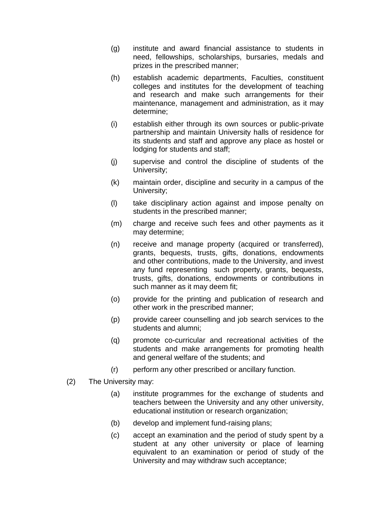- (g) institute and award financial assistance to students in need, fellowships, scholarships, bursaries, medals and prizes in the prescribed manner;
- (h) establish academic departments, Faculties, constituent colleges and institutes for the development of teaching and research and make such arrangements for their maintenance, management and administration, as it may determine;
- (i) establish either through its own sources or public-private partnership and maintain University halls of residence for its students and staff and approve any place as hostel or lodging for students and staff;
- (j) supervise and control the discipline of students of the University;
- (k) maintain order, discipline and security in a campus of the University;
- (l) take disciplinary action against and impose penalty on students in the prescribed manner;
- (m) charge and receive such fees and other payments as it may determine;
- (n) receive and manage property (acquired or transferred), grants, bequests, trusts, gifts, donations, endowments and other contributions, made to the University, and invest any fund representing such property, grants, bequests, trusts, gifts, donations, endowments or contributions in such manner as it may deem fit;
- (o) provide for the printing and publication of research and other work in the prescribed manner;
- (p) provide career counselling and job search services to the students and alumni;
- (q) promote co-curricular and recreational activities of the students and make arrangements for promoting health and general welfare of the students; and
- (r) perform any other prescribed or ancillary function.
- (2) The University may:
	- (a) institute programmes for the exchange of students and teachers between the University and any other university, educational institution or research organization;
	- (b) develop and implement fund-raising plans;
	- (c) accept an examination and the period of study spent by a student at any other university or place of learning equivalent to an examination or period of study of the University and may withdraw such acceptance;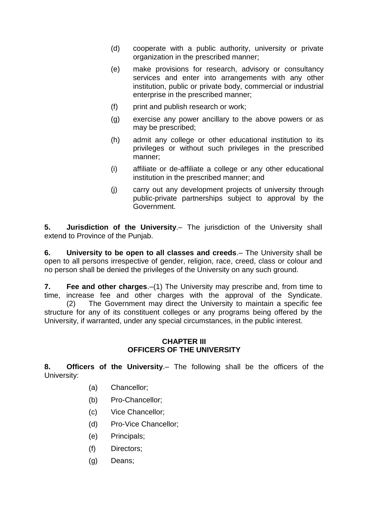- (d) cooperate with a public authority, university or private organization in the prescribed manner;
- (e) make provisions for research, advisory or consultancy services and enter into arrangements with any other institution, public or private body, commercial or industrial enterprise in the prescribed manner;
- (f) print and publish research or work;
- (g) exercise any power ancillary to the above powers or as may be prescribed;
- (h) admit any college or other educational institution to its privileges or without such privileges in the prescribed manner;
- (i) affiliate or de-affiliate a college or any other educational institution in the prescribed manner; and
- (j) carry out any development projects of university through public-private partnerships subject to approval by the Government.

<span id="page-7-0"></span>**5. Jurisdiction of the University**.– The jurisdiction of the University shall extend to Province of the Punjab.

<span id="page-7-1"></span>**6. University to be open to all classes and creeds**.– The University shall be open to all persons irrespective of gender, religion, race, creed, class or colour and no person shall be denied the privileges of the University on any such ground.

<span id="page-7-2"></span>**7. Fee and other charges**.–(1) The University may prescribe and, from time to time, increase fee and other charges with the approval of the Syndicate. (2) The Government may direct the University to maintain a specific fee structure for any of its constituent colleges or any programs being offered by the University, if warranted, under any special circumstances, in the public interest.

# **CHAPTER III OFFICERS OF THE UNIVERSITY**

<span id="page-7-4"></span><span id="page-7-3"></span>**8. Officers of the University**.– The following shall be the officers of the University:

- (a) Chancellor;
- (b) Pro-Chancellor;
- (c) Vice Chancellor;
- (d) Pro-Vice Chancellor;
- (e) Principals;
- (f) Directors;
- (g) Deans;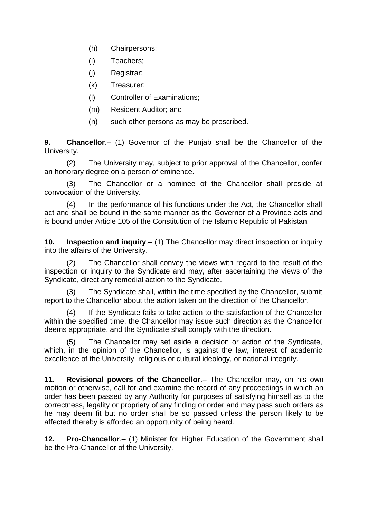- (h) Chairpersons;
- (i) Teachers;
- (j) Registrar;
- (k) Treasurer;
- (l) Controller of Examinations;
- (m) Resident Auditor; and
- (n) such other persons as may be prescribed.

<span id="page-8-0"></span>**9. Chancellor**.– (1) Governor of the Punjab shall be the Chancellor of the University.

(2) The University may, subject to prior approval of the Chancellor, confer an honorary degree on a person of eminence.

(3) The Chancellor or a nominee of the Chancellor shall preside at convocation of the University.

(4) In the performance of his functions under the Act, the Chancellor shall act and shall be bound in the same manner as the Governor of a Province acts and is bound under Article 105 of the Constitution of the Islamic Republic of Pakistan.

<span id="page-8-1"></span>**10. Inspection and inquiry**.– (1) The Chancellor may direct inspection or inquiry into the affairs of the University.

(2) The Chancellor shall convey the views with regard to the result of the inspection or inquiry to the Syndicate and may, after ascertaining the views of the Syndicate, direct any remedial action to the Syndicate.

(3) The Syndicate shall, within the time specified by the Chancellor, submit report to the Chancellor about the action taken on the direction of the Chancellor.

If the Syndicate fails to take action to the satisfaction of the Chancellor within the specified time, the Chancellor may issue such direction as the Chancellor deems appropriate, and the Syndicate shall comply with the direction.

(5) The Chancellor may set aside a decision or action of the Syndicate, which, in the opinion of the Chancellor, is against the law, interest of academic excellence of the University, religious or cultural ideology, or national integrity.

<span id="page-8-2"></span>**11. Revisional powers of the Chancellor**.– The Chancellor may, on his own motion or otherwise, call for and examine the record of any proceedings in which an order has been passed by any Authority for purposes of satisfying himself as to the correctness, legality or propriety of any finding or order and may pass such orders as he may deem fit but no order shall be so passed unless the person likely to be affected thereby is afforded an opportunity of being heard.

<span id="page-8-3"></span>**12. Pro-Chancellor**.– (1) Minister for Higher Education of the Government shall be the Pro-Chancellor of the University.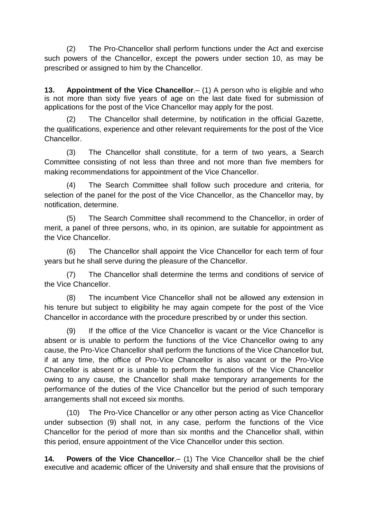(2) The Pro-Chancellor shall perform functions under the Act and exercise such powers of the Chancellor, except the powers under section 10, as may be prescribed or assigned to him by the Chancellor.

<span id="page-9-0"></span>**13. Appointment of the Vice Chancellor**.– (1) A person who is eligible and who is not more than sixty five years of age on the last date fixed for submission of applications for the post of the Vice Chancellor may apply for the post.

(2) The Chancellor shall determine, by notification in the official Gazette, the qualifications, experience and other relevant requirements for the post of the Vice **Chancellor** 

(3) The Chancellor shall constitute, for a term of two years, a Search Committee consisting of not less than three and not more than five members for making recommendations for appointment of the Vice Chancellor.

(4) The Search Committee shall follow such procedure and criteria, for selection of the panel for the post of the Vice Chancellor, as the Chancellor may, by notification, determine.

(5) The Search Committee shall recommend to the Chancellor, in order of merit, a panel of three persons, who, in its opinion, are suitable for appointment as the Vice Chancellor.

(6) The Chancellor shall appoint the Vice Chancellor for each term of four years but he shall serve during the pleasure of the Chancellor.

(7) The Chancellor shall determine the terms and conditions of service of the Vice Chancellor.

(8) The incumbent Vice Chancellor shall not be allowed any extension in his tenure but subject to eligibility he may again compete for the post of the Vice Chancellor in accordance with the procedure prescribed by or under this section.

(9) If the office of the Vice Chancellor is vacant or the Vice Chancellor is absent or is unable to perform the functions of the Vice Chancellor owing to any cause, the Pro-Vice Chancellor shall perform the functions of the Vice Chancellor but, if at any time, the office of Pro-Vice Chancellor is also vacant or the Pro-Vice Chancellor is absent or is unable to perform the functions of the Vice Chancellor owing to any cause, the Chancellor shall make temporary arrangements for the performance of the duties of the Vice Chancellor but the period of such temporary arrangements shall not exceed six months.

(10) The Pro-Vice Chancellor or any other person acting as Vice Chancellor under subsection (9) shall not, in any case, perform the functions of the Vice Chancellor for the period of more than six months and the Chancellor shall, within this period, ensure appointment of the Vice Chancellor under this section.

<span id="page-9-1"></span>**14. Powers of the Vice Chancellor**.– (1) The Vice Chancellor shall be the chief executive and academic officer of the University and shall ensure that the provisions of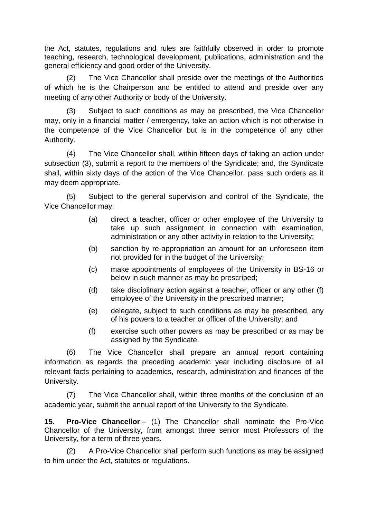the Act, statutes, regulations and rules are faithfully observed in order to promote teaching, research, technological development, publications, administration and the general efficiency and good order of the University.

(2) The Vice Chancellor shall preside over the meetings of the Authorities of which he is the Chairperson and be entitled to attend and preside over any meeting of any other Authority or body of the University.

(3) Subject to such conditions as may be prescribed, the Vice Chancellor may, only in a financial matter / emergency, take an action which is not otherwise in the competence of the Vice Chancellor but is in the competence of any other Authority.

(4) The Vice Chancellor shall, within fifteen days of taking an action under subsection (3), submit a report to the members of the Syndicate; and, the Syndicate shall, within sixty days of the action of the Vice Chancellor, pass such orders as it may deem appropriate.

(5) Subject to the general supervision and control of the Syndicate, the Vice Chancellor may:

- (a) direct a teacher, officer or other employee of the University to take up such assignment in connection with examination, administration or any other activity in relation to the University;
- (b) sanction by re-appropriation an amount for an unforeseen item not provided for in the budget of the University;
- (c) make appointments of employees of the University in BS-16 or below in such manner as may be prescribed;
- (d) take disciplinary action against a teacher, officer or any other (f) employee of the University in the prescribed manner;
- (e) delegate, subject to such conditions as may be prescribed, any of his powers to a teacher or officer of the University; and
- (f) exercise such other powers as may be prescribed or as may be assigned by the Syndicate.

(6) The Vice Chancellor shall prepare an annual report containing information as regards the preceding academic year including disclosure of all relevant facts pertaining to academics, research, administration and finances of the University.

(7) The Vice Chancellor shall, within three months of the conclusion of an academic year, submit the annual report of the University to the Syndicate.

<span id="page-10-0"></span>**15. Pro-Vice Chancellor**.– (1) The Chancellor shall nominate the Pro-Vice Chancellor of the University, from amongst three senior most Professors of the University, for a term of three years.

(2) A Pro-Vice Chancellor shall perform such functions as may be assigned to him under the Act, statutes or regulations.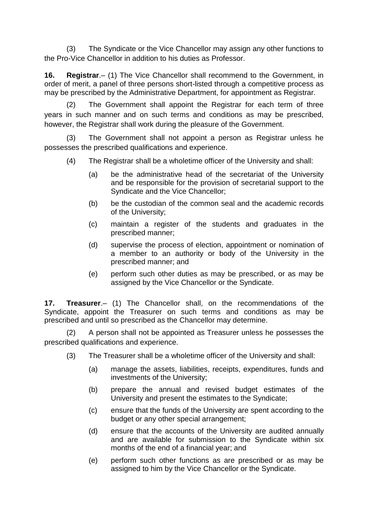(3) The Syndicate or the Vice Chancellor may assign any other functions to the Pro-Vice Chancellor in addition to his duties as Professor.

<span id="page-11-0"></span>**16. Registrar**.– (1) The Vice Chancellor shall recommend to the Government, in order of merit, a panel of three persons short-listed through a competitive process as may be prescribed by the Administrative Department, for appointment as Registrar.

(2) The Government shall appoint the Registrar for each term of three years in such manner and on such terms and conditions as may be prescribed, however, the Registrar shall work during the pleasure of the Government.

(3) The Government shall not appoint a person as Registrar unless he possesses the prescribed qualifications and experience.

- (4) The Registrar shall be a wholetime officer of the University and shall:
	- (a) be the administrative head of the secretariat of the University and be responsible for the provision of secretarial support to the Syndicate and the Vice Chancellor;
	- (b) be the custodian of the common seal and the academic records of the University;
	- (c) maintain a register of the students and graduates in the prescribed manner;
	- (d) supervise the process of election, appointment or nomination of a member to an authority or body of the University in the prescribed manner; and
	- (e) perform such other duties as may be prescribed, or as may be assigned by the Vice Chancellor or the Syndicate.

<span id="page-11-1"></span>**17. Treasurer**.– (1) The Chancellor shall, on the recommendations of the Syndicate, appoint the Treasurer on such terms and conditions as may be prescribed and until so prescribed as the Chancellor may determine.

(2) A person shall not be appointed as Treasurer unless he possesses the prescribed qualifications and experience.

- (3) The Treasurer shall be a wholetime officer of the University and shall:
	- (a) manage the assets, liabilities, receipts, expenditures, funds and investments of the University;
	- (b) prepare the annual and revised budget estimates of the University and present the estimates to the Syndicate;
	- (c) ensure that the funds of the University are spent according to the budget or any other special arrangement;
	- (d) ensure that the accounts of the University are audited annually and are available for submission to the Syndicate within six months of the end of a financial year; and
	- (e) perform such other functions as are prescribed or as may be assigned to him by the Vice Chancellor or the Syndicate.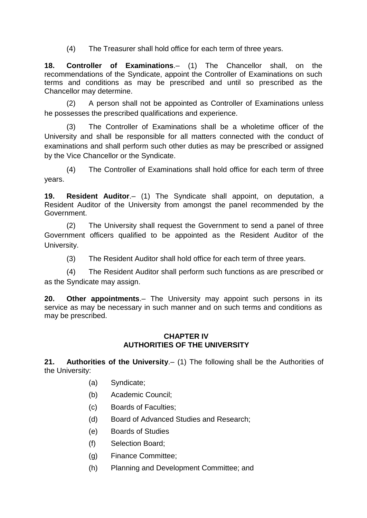(4) The Treasurer shall hold office for each term of three years.

<span id="page-12-0"></span>**18. Controller of Examinations**.– (1) The Chancellor shall, on the recommendations of the Syndicate, appoint the Controller of Examinations on such terms and conditions as may be prescribed and until so prescribed as the Chancellor may determine.

(2) A person shall not be appointed as Controller of Examinations unless he possesses the prescribed qualifications and experience.

(3) The Controller of Examinations shall be a wholetime officer of the University and shall be responsible for all matters connected with the conduct of examinations and shall perform such other duties as may be prescribed or assigned by the Vice Chancellor or the Syndicate.

(4) The Controller of Examinations shall hold office for each term of three years.

<span id="page-12-1"></span>**19. Resident Auditor**.– (1) The Syndicate shall appoint, on deputation, a Resident Auditor of the University from amongst the panel recommended by the Government.

(2) The University shall request the Government to send a panel of three Government officers qualified to be appointed as the Resident Auditor of the University.

(3) The Resident Auditor shall hold office for each term of three years.

(4) The Resident Auditor shall perform such functions as are prescribed or as the Syndicate may assign.

<span id="page-12-2"></span>**20. Other appointments**.– The University may appoint such persons in its service as may be necessary in such manner and on such terms and conditions as may be prescribed.

# **CHAPTER IV AUTHORITIES OF THE UNIVERSITY**

<span id="page-12-4"></span><span id="page-12-3"></span>**21. Authorities of the University**.– (1) The following shall be the Authorities of the University:

- (a) Syndicate;
- (b) Academic Council;
- (c) Boards of Faculties;
- (d) Board of Advanced Studies and Research;
- (e) Boards of Studies
- (f) Selection Board;
- (g) Finance Committee;
- (h) Planning and Development Committee; and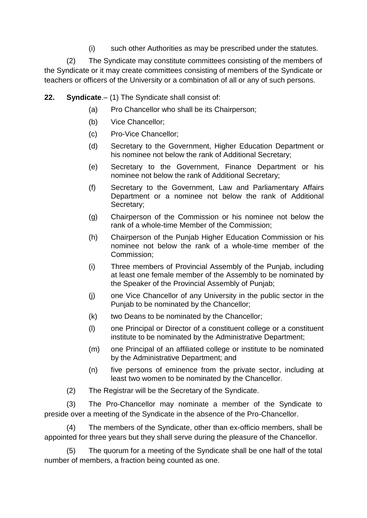(i) such other Authorities as may be prescribed under the statutes.

(2) The Syndicate may constitute committees consisting of the members of the Syndicate or it may create committees consisting of members of the Syndicate or teachers or officers of the University or a combination of all or any of such persons.

<span id="page-13-0"></span>**22. Syndicate**.– (1) The Syndicate shall consist of:

- (a) Pro Chancellor who shall be its Chairperson;
- (b) Vice Chancellor;
- (c) Pro-Vice Chancellor;
- (d) Secretary to the Government, Higher Education Department or his nominee not below the rank of Additional Secretary;
- (e) Secretary to the Government, Finance Department or his nominee not below the rank of Additional Secretary;
- (f) Secretary to the Government, Law and Parliamentary Affairs Department or a nominee not below the rank of Additional Secretary;
- (g) Chairperson of the Commission or his nominee not below the rank of a whole-time Member of the Commission;
- (h) Chairperson of the Punjab Higher Education Commission or his nominee not below the rank of a whole-time member of the Commission;
- (i) Three members of Provincial Assembly of the Punjab, including at least one female member of the Assembly to be nominated by the Speaker of the Provincial Assembly of Punjab;
- (j) one Vice Chancellor of any University in the public sector in the Punjab to be nominated by the Chancellor;
- (k) two Deans to be nominated by the Chancellor;
- (l) one Principal or Director of a constituent college or a constituent institute to be nominated by the Administrative Department;
- (m) one Principal of an affiliated college or institute to be nominated by the Administrative Department; and
- (n) five persons of eminence from the private sector, including at least two women to be nominated by the Chancellor.
- (2) The Registrar will be the Secretary of the Syndicate.

(3) The Pro-Chancellor may nominate a member of the Syndicate to preside over a meeting of the Syndicate in the absence of the Pro-Chancellor.

(4) The members of the Syndicate, other than ex-officio members, shall be appointed for three years but they shall serve during the pleasure of the Chancellor.

(5) The quorum for a meeting of the Syndicate shall be one half of the total number of members, a fraction being counted as one.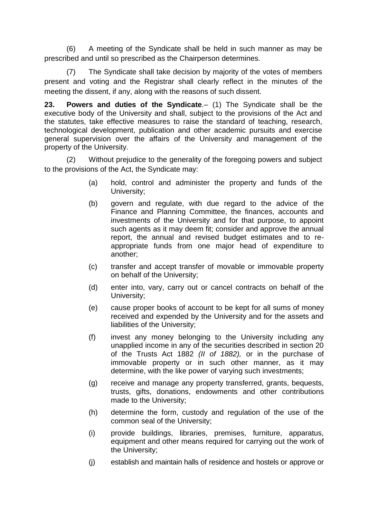(6) A meeting of the Syndicate shall be held in such manner as may be prescribed and until so prescribed as the Chairperson determines.

(7) The Syndicate shall take decision by majority of the votes of members present and voting and the Registrar shall clearly reflect in the minutes of the meeting the dissent, if any, along with the reasons of such dissent.

<span id="page-14-0"></span>**23. Powers and duties of the Syndicate**.– (1) The Syndicate shall be the executive body of the University and shall, subject to the provisions of the Act and the statutes, take effective measures to raise the standard of teaching, research, technological development, publication and other academic pursuits and exercise general supervision over the affairs of the University and management of the property of the University.

(2) Without prejudice to the generality of the foregoing powers and subject to the provisions of the Act, the Syndicate may:

- (a) hold, control and administer the property and funds of the University;
- (b) govern and regulate, with due regard to the advice of the Finance and Planning Committee, the finances, accounts and investments of the University and for that purpose, to appoint such agents as it may deem fit; consider and approve the annual report, the annual and revised budget estimates and to reappropriate funds from one major head of expenditure to another;
- (c) transfer and accept transfer of movable or immovable property on behalf of the University;
- (d) enter into, vary, carry out or cancel contracts on behalf of the University;
- (e) cause proper books of account to be kept for all sums of money received and expended by the University and for the assets and liabilities of the University;
- (f) invest any money belonging to the University including any unapplied income in any of the securities described in section 20 of the Trusts Act 1882 *(II of 1882),* or in the purchase of immovable property or in such other manner, as it may determine, with the like power of varying such investments;
- (g) receive and manage any property transferred, grants, bequests, trusts, gifts, donations, endowments and other contributions made to the University;
- (h) determine the form, custody and regulation of the use of the common seal of the University;
- (i) provide buildings, libraries, premises, furniture, apparatus, equipment and other means required for carrying out the work of the University;
- (j) establish and maintain halls of residence and hostels or approve or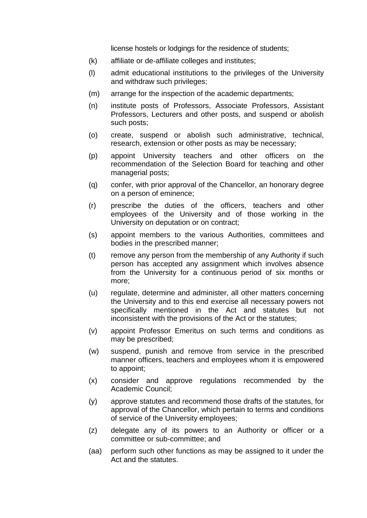license hostels or lodgings for the residence of students;

- (k) affiliate or de-affiliate colleges and institutes;
- (l) admit educational institutions to the privileges of the University and withdraw such privileges;
- (m) arrange for the inspection of the academic departments;
- (n) institute posts of Professors, Associate Professors, Assistant Professors, Lecturers and other posts, and suspend or abolish such posts;
- (o) create, suspend or abolish such administrative, technical, research, extension or other posts as may be necessary;
- (p) appoint University teachers and other officers on the recommendation of the Selection Board for teaching and other managerial posts;
- (q) confer, with prior approval of the Chancellor, an honorary degree on a person of eminence;
- (r) prescribe the duties of the officers, teachers and other employees of the University and of those working in the University on deputation or on contract;
- (s) appoint members to the various Authorities, committees and bodies in the prescribed manner;
- (t) remove any person from the membership of any Authority if such person has accepted any assignment which involves absence from the University for a continuous period of six months or more;
- (u) regulate, determine and administer, all other matters concerning the University and to this end exercise all necessary powers not specifically mentioned in the Act and statutes but not inconsistent with the provisions of the Act or the statutes;
- (v) appoint Professor Emeritus on such terms and conditions as may be prescribed;
- (w) suspend, punish and remove from service in the prescribed manner officers, teachers and employees whom it is empowered to appoint;
- (x) consider and approve regulations recommended by the Academic Council;
- (y) approve statutes and recommend those drafts of the statutes, for approval of the Chancellor, which pertain to terms and conditions of service of the University employees;
- (z) delegate any of its powers to an Authority or officer or a committee or sub-committee; and
- (aa) perform such other functions as may be assigned to it under the Act and the statutes.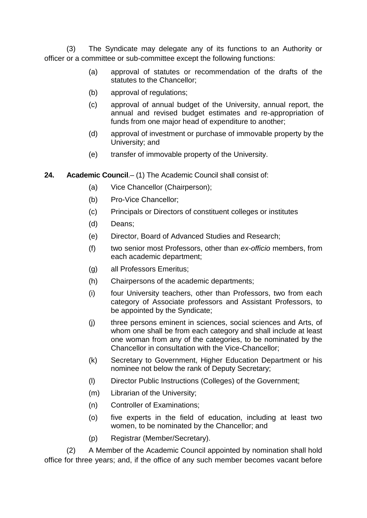(3) The Syndicate may delegate any of its functions to an Authority or officer or a committee or sub-committee except the following functions:

- (a) approval of statutes or recommendation of the drafts of the statutes to the Chancellor;
- (b) approval of regulations;
- (c) approval of annual budget of the University, annual report, the annual and revised budget estimates and re-appropriation of funds from one major head of expenditure to another;
- (d) approval of investment or purchase of immovable property by the University; and
- (e) transfer of immovable property of the University.
- <span id="page-16-0"></span>**24. Academic Council**.– (1) The Academic Council shall consist of:
	- (a) Vice Chancellor (Chairperson);
	- (b) Pro-Vice Chancellor;
	- (c) Principals or Directors of constituent colleges or institutes
	- (d) Deans;
	- (e) Director, Board of Advanced Studies and Research;
	- (f) two senior most Professors, other than *ex-officio* members, from each academic department;
	- (g) all Professors Emeritus;
	- (h) Chairpersons of the academic departments;
	- (i) four University teachers, other than Professors, two from each category of Associate professors and Assistant Professors, to be appointed by the Syndicate;
	- (j) three persons eminent in sciences, social sciences and Arts, of whom one shall be from each category and shall include at least one woman from any of the categories, to be nominated by the Chancellor in consultation with the Vice-Chancellor;
	- (k) Secretary to Government, Higher Education Department or his nominee not below the rank of Deputy Secretary;
	- (l) Director Public Instructions (Colleges) of the Government;
	- (m) Librarian of the University;
	- (n) Controller of Examinations;
	- (o) five experts in the field of education, including at least two women, to be nominated by the Chancellor; and
	- (p) Registrar (Member/Secretary).

(2) A Member of the Academic Council appointed by nomination shall hold office for three years; and, if the office of any such member becomes vacant before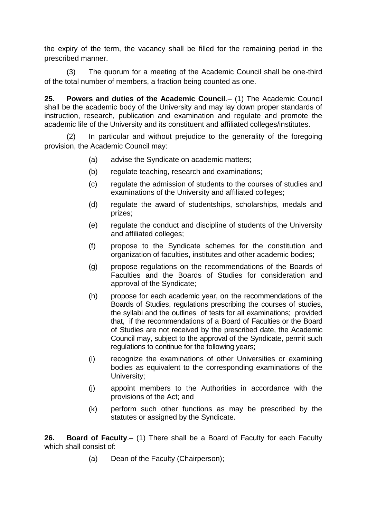the expiry of the term, the vacancy shall be filled for the remaining period in the prescribed manner.

(3) The quorum for a meeting of the Academic Council shall be one-third of the total number of members, a fraction being counted as one.

<span id="page-17-0"></span>**25. Powers and duties of the Academic Council**.– (1) The Academic Council shall be the academic body of the University and may lay down proper standards of instruction, research, publication and examination and regulate and promote the academic life of the University and its constituent and affiliated colleges/institutes.

(2) In particular and without prejudice to the generality of the foregoing provision, the Academic Council may:

- (a) advise the Syndicate on academic matters;
- (b) regulate teaching, research and examinations;
- (c) regulate the admission of students to the courses of studies and examinations of the University and affiliated colleges;
- (d) regulate the award of studentships, scholarships, medals and prizes;
- (e) regulate the conduct and discipline of students of the University and affiliated colleges;
- (f) propose to the Syndicate schemes for the constitution and organization of faculties, institutes and other academic bodies;
- (g) propose regulations on the recommendations of the Boards of Faculties and the Boards of Studies for consideration and approval of the Syndicate;
- (h) propose for each academic year, on the recommendations of the Boards of Studies, regulations prescribing the courses of studies, the syllabi and the outlines of tests for all examinations; provided that, if the recommendations of a Board of Faculties or the Board of Studies are not received by the prescribed date, the Academic Council may, subject to the approval of the Syndicate, permit such regulations to continue for the following years;
- (i) recognize the examinations of other Universities or examining bodies as equivalent to the corresponding examinations of the University;
- (j) appoint members to the Authorities in accordance with the provisions of the Act; and
- (k) perform such other functions as may be prescribed by the statutes or assigned by the Syndicate.

<span id="page-17-1"></span>**26. Board of Faculty**.– (1) There shall be a Board of Faculty for each Faculty which shall consist of:

(a) Dean of the Faculty (Chairperson);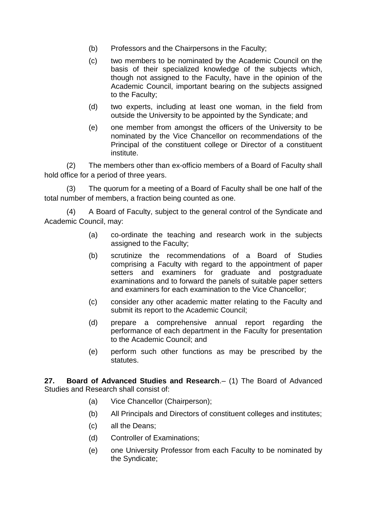- (b) Professors and the Chairpersons in the Faculty;
- (c) two members to be nominated by the Academic Council on the basis of their specialized knowledge of the subjects which, though not assigned to the Faculty, have in the opinion of the Academic Council, important bearing on the subjects assigned to the Faculty;
- (d) two experts, including at least one woman, in the field from outside the University to be appointed by the Syndicate; and
- (e) one member from amongst the officers of the University to be nominated by the Vice Chancellor on recommendations of the Principal of the constituent college or Director of a constituent institute.

(2) The members other than ex-officio members of a Board of Faculty shall hold office for a period of three years.

(3) The quorum for a meeting of a Board of Faculty shall be one half of the total number of members, a fraction being counted as one.

(4) A Board of Faculty, subject to the general control of the Syndicate and Academic Council, may:

- (a) co-ordinate the teaching and research work in the subjects assigned to the Faculty;
- (b) scrutinize the recommendations of a Board of Studies comprising a Faculty with regard to the appointment of paper setters and examiners for graduate and postgraduate examinations and to forward the panels of suitable paper setters and examiners for each examination to the Vice Chancellor;
- (c) consider any other academic matter relating to the Faculty and submit its report to the Academic Council;
- (d) prepare a comprehensive annual report regarding the performance of each department in the Faculty for presentation to the Academic Council; and
- (e) perform such other functions as may be prescribed by the statutes.

<span id="page-18-0"></span>**27. Board of Advanced Studies and Research**.– (1) The Board of Advanced Studies and Research shall consist of:

- (a) Vice Chancellor (Chairperson);
- (b) All Principals and Directors of constituent colleges and institutes;
- (c) all the Deans;
- (d) Controller of Examinations;
- (e) one University Professor from each Faculty to be nominated by the Syndicate;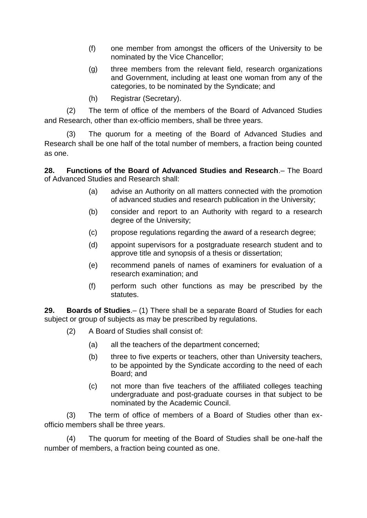- (f) one member from amongst the officers of the University to be nominated by the Vice Chancellor;
- (g) three members from the relevant field, research organizations and Government, including at least one woman from any of the categories, to be nominated by the Syndicate; and
- (h) Registrar (Secretary).

(2) The term of office of the members of the Board of Advanced Studies and Research, other than ex-officio members, shall be three years.

(3) The quorum for a meeting of the Board of Advanced Studies and Research shall be one half of the total number of members, a fraction being counted as one.

<span id="page-19-0"></span>**28. Functions of the Board of Advanced Studies and Research**.– The Board of Advanced Studies and Research shall:

- (a) advise an Authority on all matters connected with the promotion of advanced studies and research publication in the University;
- (b) consider and report to an Authority with regard to a research degree of the University;
- (c) propose regulations regarding the award of a research degree;
- (d) appoint supervisors for a postgraduate research student and to approve title and synopsis of a thesis or dissertation;
- (e) recommend panels of names of examiners for evaluation of a research examination; and
- (f) perform such other functions as may be prescribed by the statutes.

<span id="page-19-1"></span>**29. Boards of Studies**.– (1) There shall be a separate Board of Studies for each subject or group of subjects as may be prescribed by regulations.

- (2) A Board of Studies shall consist of:
	- (a) all the teachers of the department concerned;
	- (b) three to five experts or teachers, other than University teachers, to be appointed by the Syndicate according to the need of each Board; and
	- (c) not more than five teachers of the affiliated colleges teaching undergraduate and post-graduate courses in that subject to be nominated by the Academic Council.

(3) The term of office of members of a Board of Studies other than exofficio members shall be three years.

(4) The quorum for meeting of the Board of Studies shall be one-half the number of members, a fraction being counted as one.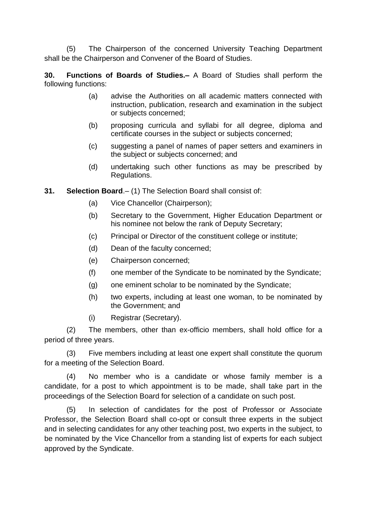(5) The Chairperson of the concerned University Teaching Department shall be the Chairperson and Convener of the Board of Studies.

<span id="page-20-0"></span>**30. Functions of Boards of Studies.–** A Board of Studies shall perform the following functions:

- (a) advise the Authorities on all academic matters connected with instruction, publication, research and examination in the subject or subjects concerned;
- (b) proposing curricula and syllabi for all degree, diploma and certificate courses in the subject or subjects concerned;
- (c) suggesting a panel of names of paper setters and examiners in the subject or subjects concerned; and
- (d) undertaking such other functions as may be prescribed by Regulations.
- <span id="page-20-1"></span>**31. Selection Board**.– (1) The Selection Board shall consist of:
	- (a) Vice Chancellor (Chairperson);
	- (b) Secretary to the Government, Higher Education Department or his nominee not below the rank of Deputy Secretary;
	- (c) Principal or Director of the constituent college or institute;
	- (d) Dean of the faculty concerned;
	- (e) Chairperson concerned;
	- (f) one member of the Syndicate to be nominated by the Syndicate;
	- (g) one eminent scholar to be nominated by the Syndicate;
	- (h) two experts, including at least one woman, to be nominated by the Government; and
	- (i) Registrar (Secretary).

(2) The members, other than ex-officio members, shall hold office for a period of three years.

(3) Five members including at least one expert shall constitute the quorum for a meeting of the Selection Board.

(4) No member who is a candidate or whose family member is a candidate, for a post to which appointment is to be made, shall take part in the proceedings of the Selection Board for selection of a candidate on such post.

(5) In selection of candidates for the post of Professor or Associate Professor, the Selection Board shall co-opt or consult three experts in the subject and in selecting candidates for any other teaching post, two experts in the subject, to be nominated by the Vice Chancellor from a standing list of experts for each subject approved by the Syndicate.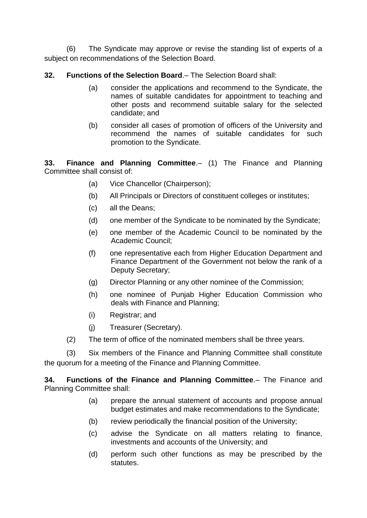(6) The Syndicate may approve or revise the standing list of experts of a subject on recommendations of the Selection Board.

<span id="page-21-0"></span>**32. Functions of the Selection Board**.– The Selection Board shall:

- (a) consider the applications and recommend to the Syndicate, the names of suitable candidates for appointment to teaching and other posts and recommend suitable salary for the selected candidate; and
- (b) consider all cases of promotion of officers of the University and recommend the names of suitable candidates for such promotion to the Syndicate.

<span id="page-21-1"></span>**33. Finance and Planning Committee**.– (1) The Finance and Planning Committee shall consist of:

- (a) Vice Chancellor (Chairperson);
- (b) All Principals or Directors of constituent colleges or institutes;
- (c) all the Deans;
- (d) one member of the Syndicate to be nominated by the Syndicate;
- (e) one member of the Academic Council to be nominated by the Academic Council;
- (f) one representative each from Higher Education Department and Finance Department of the Government not below the rank of a Deputy Secretary;
- (g) Director Planning or any other nominee of the Commission;
- (h) one nominee of Punjab Higher Education Commission who deals with Finance and Planning;
- (i) Registrar; and
- (j) Treasurer (Secretary).
- (2) The term of office of the nominated members shall be three years.

(3) Six members of the Finance and Planning Committee shall constitute the quorum for a meeting of the Finance and Planning Committee.

<span id="page-21-2"></span>**34. Functions of the Finance and Planning Committee**.– The Finance and Planning Committee shall:

- (a) prepare the annual statement of accounts and propose annual budget estimates and make recommendations to the Syndicate;
- (b) review periodically the financial position of the University;
- (c) advise the Syndicate on all matters relating to finance, investments and accounts of the University; and
- (d) perform such other functions as may be prescribed by the statutes.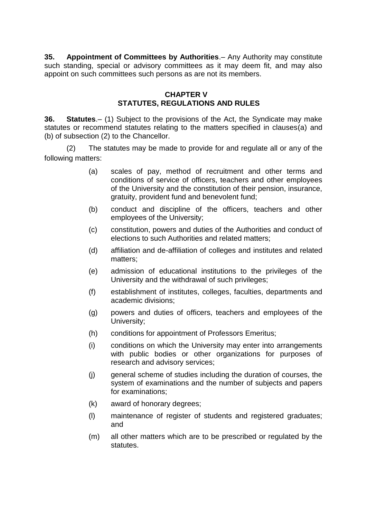<span id="page-22-0"></span>**35. Appointment of Committees by Authorities**.– Any Authority may constitute such standing, special or advisory committees as it may deem fit, and may also appoint on such committees such persons as are not its members.

### **CHAPTER V STATUTES, REGULATIONS AND RULES**

<span id="page-22-2"></span><span id="page-22-1"></span>**36. Statutes**.– (1) Subject to the provisions of the Act, the Syndicate may make statutes or recommend statutes relating to the matters specified in clauses(a) and (b) of subsection (2) to the Chancellor.

(2) The statutes may be made to provide for and regulate all or any of the following matters:

- (a) scales of pay, method of recruitment and other terms and conditions of service of officers, teachers and other employees of the University and the constitution of their pension, insurance, gratuity, provident fund and benevolent fund;
- (b) conduct and discipline of the officers, teachers and other employees of the University;
- (c) constitution, powers and duties of the Authorities and conduct of elections to such Authorities and related matters;
- (d) affiliation and de-affiliation of colleges and institutes and related matters;
- (e) admission of educational institutions to the privileges of the University and the withdrawal of such privileges;
- (f) establishment of institutes, colleges, faculties, departments and academic divisions;
- (g) powers and duties of officers, teachers and employees of the University;
- (h) conditions for appointment of Professors Emeritus;
- (i) conditions on which the University may enter into arrangements with public bodies or other organizations for purposes of research and advisory services;
- (j) general scheme of studies including the duration of courses, the system of examinations and the number of subjects and papers for examinations;
- (k) award of honorary degrees;
- (l) maintenance of register of students and registered graduates; and
- (m) all other matters which are to be prescribed or regulated by the statutes.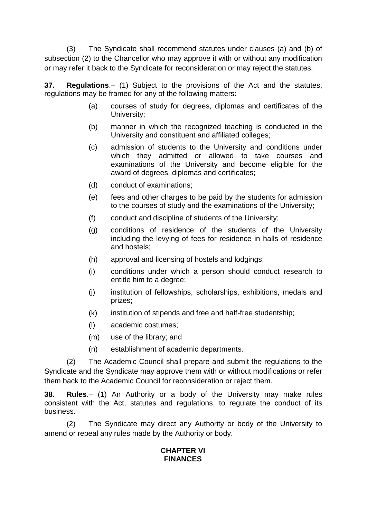(3) The Syndicate shall recommend statutes under clauses (a) and (b) of subsection (2) to the Chancellor who may approve it with or without any modification or may refer it back to the Syndicate for reconsideration or may reject the statutes.

<span id="page-23-0"></span>**37. Regulations**.– (1) Subject to the provisions of the Act and the statutes, regulations may be framed for any of the following matters:

- (a) courses of study for degrees, diplomas and certificates of the University;
- (b) manner in which the recognized teaching is conducted in the University and constituent and affiliated colleges;
- (c) admission of students to the University and conditions under which they admitted or allowed to take courses and examinations of the University and become eligible for the award of degrees, diplomas and certificates;
- (d) conduct of examinations;
- (e) fees and other charges to be paid by the students for admission to the courses of study and the examinations of the University;
- (f) conduct and discipline of students of the University;
- (g) conditions of residence of the students of the University including the levying of fees for residence in halls of residence and hostels;
- (h) approval and licensing of hostels and lodgings;
- (i) conditions under which a person should conduct research to entitle him to a degree;
- (j) institution of fellowships, scholarships, exhibitions, medals and prizes;
- (k) institution of stipends and free and half-free studentship;
- (l) academic costumes;
- (m) use of the library; and
- (n) establishment of academic departments.

(2) The Academic Council shall prepare and submit the regulations to the Syndicate and the Syndicate may approve them with or without modifications or refer them back to the Academic Council for reconsideration or reject them.

<span id="page-23-1"></span>**38. Rules**.– (1) An Authority or a body of the University may make rules consistent with the Act, statutes and regulations, to regulate the conduct of its business.

<span id="page-23-2"></span>(2) The Syndicate may direct any Authority or body of the University to amend or repeal any rules made by the Authority or body.

# **CHAPTER VI FINANCES**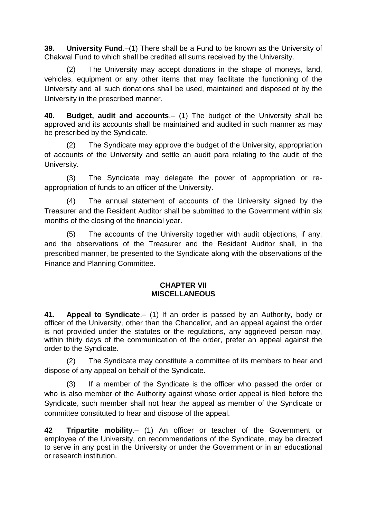<span id="page-24-0"></span>**39. University Fund**.–(1) There shall be a Fund to be known as the University of Chakwal Fund to which shall be credited all sums received by the University.

(2) The University may accept donations in the shape of moneys, land, vehicles, equipment or any other items that may facilitate the functioning of the University and all such donations shall be used, maintained and disposed of by the University in the prescribed manner.

<span id="page-24-1"></span>**40. Budget, audit and accounts**.– (1) The budget of the University shall be approved and its accounts shall be maintained and audited in such manner as may be prescribed by the Syndicate.

(2) The Syndicate may approve the budget of the University, appropriation of accounts of the University and settle an audit para relating to the audit of the University.

(3) The Syndicate may delegate the power of appropriation or reappropriation of funds to an officer of the University.

(4) The annual statement of accounts of the University signed by the Treasurer and the Resident Auditor shall be submitted to the Government within six months of the closing of the financial year.

(5) The accounts of the University together with audit objections, if any, and the observations of the Treasurer and the Resident Auditor shall, in the prescribed manner, be presented to the Syndicate along with the observations of the Finance and Planning Committee.

### **CHAPTER VII MISCELLANEOUS**

<span id="page-24-3"></span><span id="page-24-2"></span>**41. Appeal to Syndicate**.– (1) If an order is passed by an Authority, body or officer of the University, other than the Chancellor, and an appeal against the order is not provided under the statutes or the regulations, any aggrieved person may, within thirty days of the communication of the order, prefer an appeal against the order to the Syndicate.

(2) The Syndicate may constitute a committee of its members to hear and dispose of any appeal on behalf of the Syndicate.

(3) If a member of the Syndicate is the officer who passed the order or who is also member of the Authority against whose order appeal is filed before the Syndicate, such member shall not hear the appeal as member of the Syndicate or committee constituted to hear and dispose of the appeal.

<span id="page-24-4"></span>**42 Tripartite mobility**.– (1) An officer or teacher of the Government or employee of the University, on recommendations of the Syndicate, may be directed to serve in any post in the University or under the Government or in an educational or research institution.